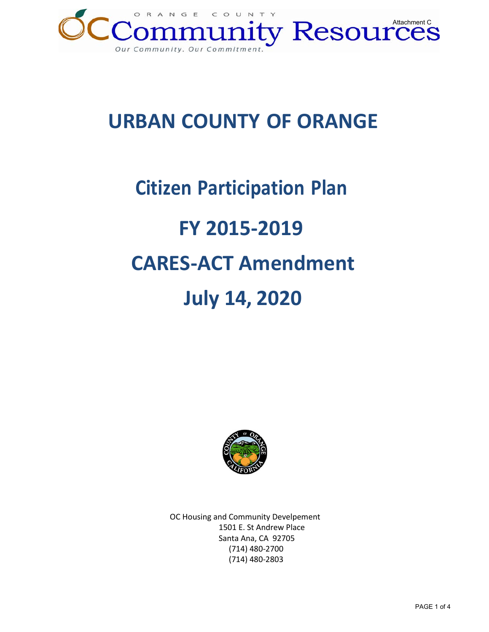

## **URBAN COUNTY OF ORANGE**

# **Citizen Participation Plan FY 2015-2019 CARES-ACT Amendment July 14, 2020**



OC Housing and Community Develpement 1501 E. St Andrew Place Santa Ana, CA 92705 (714) 480-2700 (714) 480-2803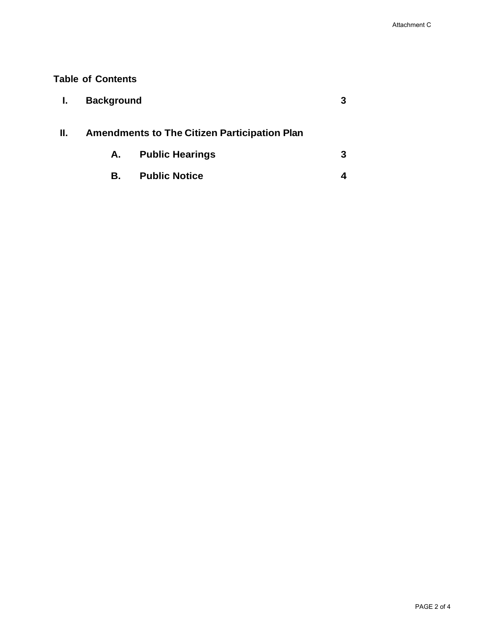### **Table of Contents**

|    | <b>Background</b>                                   |                        |   |
|----|-----------------------------------------------------|------------------------|---|
| н. | <b>Amendments to The Citizen Participation Plan</b> |                        |   |
|    | A.                                                  | <b>Public Hearings</b> | 3 |
|    | В.                                                  | <b>Public Notice</b>   |   |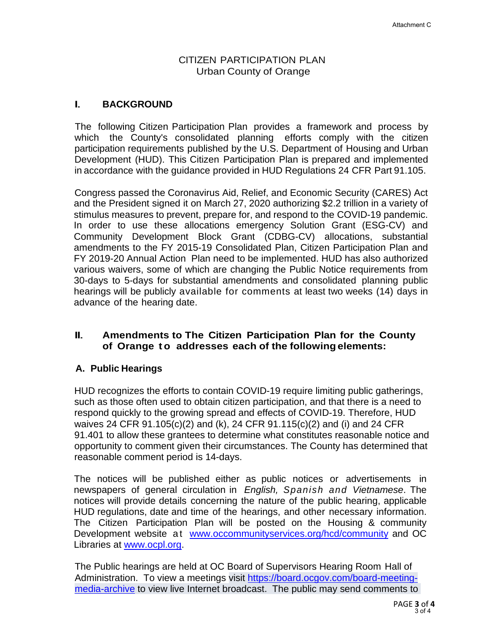#### CITIZEN PARTICIPATION PLAN Urban County of Orange

### I. **BACKGROUND**

The following Citizen Participation Plan provides a framework and process by which the County's consolidated planning efforts comply with the citizen participation requirements published by the U.S. Department of Housing and Urban Development (HUD). This Citizen Participation Plan is prepared and implemented in accordance with the guidance provided in HUD Regulations 24 CFR Part 91.105.

Congress passed the Coronavirus Aid, Relief, and Economic Security (CARES) Act and the President signed it on March 27, 2020 authorizing \$2.2 trillion in a variety of stimulus measures to prevent, prepare for, and respond to the COVID-19 pandemic. In order to use these allocations emergency Solution Grant (ESG-CV) and Community Development Block Grant (CDBG-CV) allocations, substantial amendments to the FY 2015-19 Consolidated Plan, Citizen Participation Plan and FY 2019-20 Annual Action Plan need to be implemented. HUD has also authorized various waivers, some of which are changing the Public Notice requirements from 30-days to 5-days for substantial amendments and consolidated planning public hearings will be publicly available for comments at least two weeks (14) days in advance of the hearing date.

#### II. **Amendments to The Citizen Participation Plan for the County of Orange to addresses each of the following elements:**

#### **A. Public Hearings**

HUD recognizes the efforts to contain COVID-19 require limiting public gatherings, such as those often used to obtain citizen participation, and that there is a need to respond quickly to the growing spread and effects of COVID-19. Therefore, HUD waives 24 CFR 91.105(c)(2) and (k), 24 CFR 91.115(c)(2) and (i) and 24 CFR 91.401 to allow these grantees to determine what constitutes reasonable notice and opportunity to comment given their circumstances. The County has determined that reasonable comment period is 14-days.

The notices will be published either as public notices or advertisements in newspapers of general circulation in *English, Spanish and Vietnamese*. The notices will provide details concerning the nature of the public hearing, applicable HUD regulations, date and time of the hearings, and other necessary information. The Citizen Participation Plan will be posted on the Housing & community Development website at [www.occommunityservices.org/hcd/community](http://www.occommunityservices.org/hcd/community) and OC Libraries at [www.ocpl.org.](http://www.ocpl.org/)

The Public hearings are held at OC Board of Supervisors Hearing Room Hall of Administration. To view a meetings visit [https://board.ocgov.com/board-meeting](https://board.ocgov.com/board-meeting-media-archive)[media-archive](https://board.ocgov.com/board-meeting-media-archive) to view live Internet broadcast. The public may send comments to